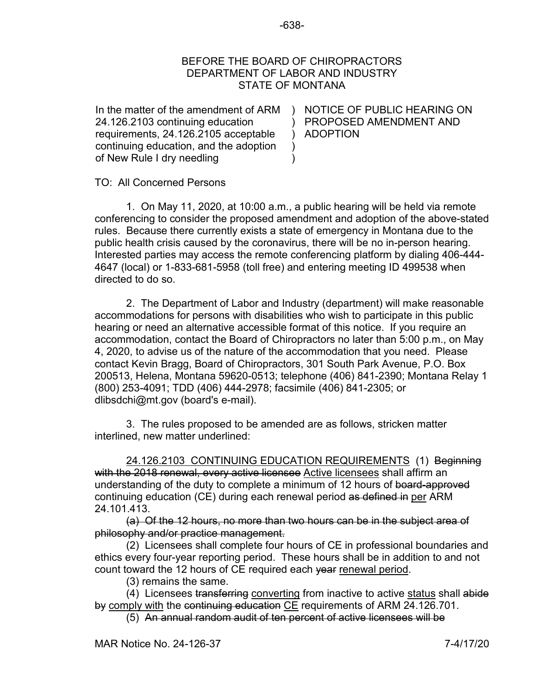## BEFORE THE BOARD OF CHIROPRACTORS DEPARTMENT OF LABOR AND INDUSTRY STATE OF MONTANA

)

 $\lambda$ )

In the matter of the amendment of ARM 24.126.2103 continuing education requirements, 24.126.2105 acceptable continuing education, and the adoption of New Rule I dry needling

 $\mathcal{L}$ ) ADOPTION NOTICE OF PUBLIC HEARING ON PROPOSED AMENDMENT AND

TO: All Concerned Persons

1. On May 11, 2020, at 10:00 a.m., a public hearing will be held via remote conferencing to consider the proposed amendment and adoption of the above-stated rules. Because there currently exists a state of emergency in Montana due to the public health crisis caused by the coronavirus, there will be no in-person hearing. Interested parties may access the remote conferencing platform by dialing 406-444- 4647 (local) or 1-833-681-5958 (toll free) and entering meeting ID 499538 when directed to do so.

2. The Department of Labor and Industry (department) will make reasonable accommodations for persons with disabilities who wish to participate in this public hearing or need an alternative accessible format of this notice. If you require an accommodation, contact the Board of Chiropractors no later than 5:00 p.m., on May 4, 2020, to advise us of the nature of the accommodation that you need. Please contact Kevin Bragg, Board of Chiropractors, 301 South Park Avenue, P.O. Box 200513, Helena, Montana 59620-0513; telephone (406) 841-2390; Montana Relay 1 (800) 253-4091; TDD (406) 444-2978; facsimile (406) 841-2305; or dlibsdchi@mt.gov (board's e-mail).

3. The rules proposed to be amended are as follows, stricken matter interlined, new matter underlined:

24.126.2103 CONTINUING EDUCATION REQUIREMENTS (1) Beginning with the 2018 renewal, every active licensee Active licensees shall affirm an understanding of the duty to complete a minimum of 12 hours of board-approved continuing education (CE) during each renewal period as defined in per ARM 24.101.413.

(a) Of the 12 hours, no more than two hours can be in the subject area of philosophy and/or practice management.

(2) Licensees shall complete four hours of CE in professional boundaries and ethics every four-year reporting period. These hours shall be in addition to and not count toward the 12 hours of CE required each year renewal period.

(3) remains the same.

(4) Licensees transferring converting from inactive to active status shall abide by comply with the continuing education CE requirements of ARM 24.126.701.

(5) An annual random audit of ten percent of active licensees will be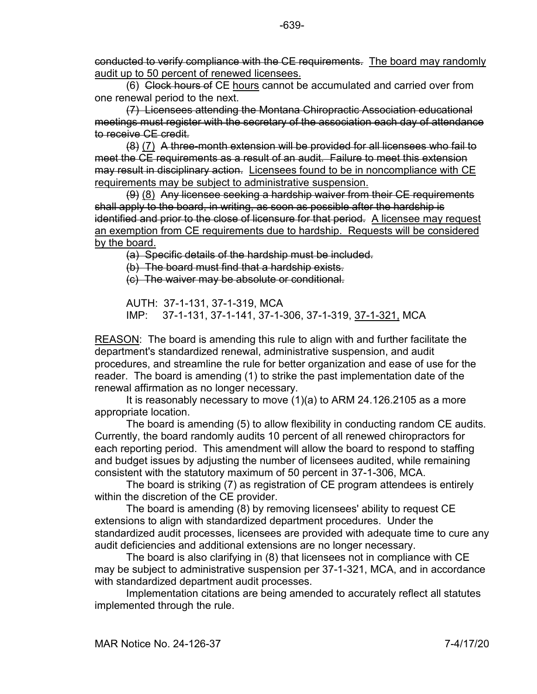conducted to verify compliance with the CE requirements. The board may randomly audit up to 50 percent of renewed licensees.

(6) Clock hours of CE hours cannot be accumulated and carried over from one renewal period to the next.

(7) Licensees attending the Montana Chiropractic Association educational meetings must register with the secretary of the association each day of attendance to receive CE credit.

(8) (7) A three-month extension will be provided for all licensees who fail to meet the CE requirements as a result of an audit. Failure to meet this extension may result in disciplinary action. Licensees found to be in noncompliance with CE requirements may be subject to administrative suspension.

(9) (8) Any licensee seeking a hardship waiver from their CE requirements shall apply to the board, in writing, as soon as possible after the hardship is identified and prior to the close of licensure for that period. A licensee may request an exemption from CE requirements due to hardship. Requests will be considered by the board.

(a) Specific details of the hardship must be included.

(b) The board must find that a hardship exists.

(c) The waiver may be absolute or conditional.

AUTH: 37-1-131, 37-1-319, MCA IMP: 37-1-131, 37-1-141, 37-1-306, 37-1-319, 37-1-321, MCA

REASON: The board is amending this rule to align with and further facilitate the department's standardized renewal, administrative suspension, and audit procedures, and streamline the rule for better organization and ease of use for the reader. The board is amending (1) to strike the past implementation date of the renewal affirmation as no longer necessary.

It is reasonably necessary to move (1)(a) to ARM 24.126.2105 as a more appropriate location.

The board is amending (5) to allow flexibility in conducting random CE audits. Currently, the board randomly audits 10 percent of all renewed chiropractors for each reporting period. This amendment will allow the board to respond to staffing and budget issues by adjusting the number of licensees audited, while remaining consistent with the statutory maximum of 50 percent in 37-1-306, MCA.

The board is striking (7) as registration of CE program attendees is entirely within the discretion of the CE provider.

The board is amending (8) by removing licensees' ability to request CE extensions to align with standardized department procedures. Under the standardized audit processes, licensees are provided with adequate time to cure any audit deficiencies and additional extensions are no longer necessary.

The board is also clarifying in (8) that licensees not in compliance with CE may be subject to administrative suspension per 37-1-321, MCA, and in accordance with standardized department audit processes.

Implementation citations are being amended to accurately reflect all statutes implemented through the rule.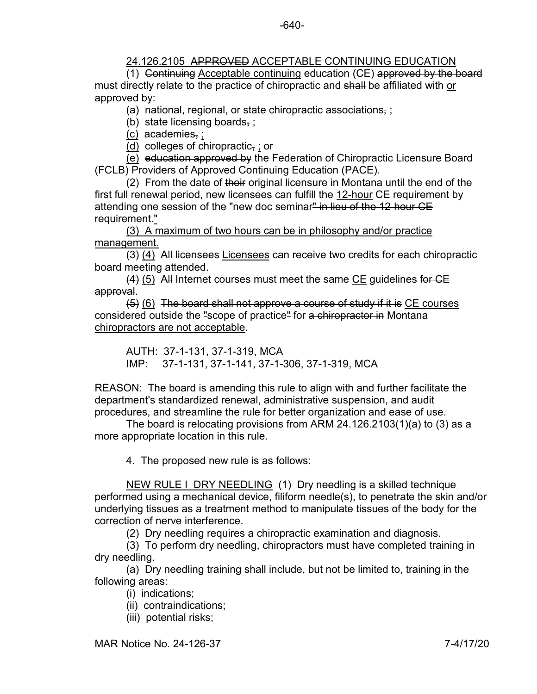## 24.126.2105 APPROVED ACCEPTABLE CONTINUING EDUCATION

(1) Continuing Acceptable continuing education (CE) approved by the board must directly relate to the practice of chiropractic and shall be affiliated with or approved by:

 $(a)$  national, regional, or state chiropractic associations,  $\vdots$ 

(b) state licensing boards, ;

(c) academies, ;

(d) colleges of chiropractic, ; or

(e) education approved by the Federation of Chiropractic Licensure Board (FCLB) Providers of Approved Continuing Education (PACE).

(2) From the date of their original licensure in Montana until the end of the first full renewal period, new licensees can fulfill the 12-hour CE requirement by attending one session of the "new doc seminar<del>" in lieu of the 12-hour CE</del> requirement."

(3) A maximum of two hours can be in philosophy and/or practice management.

(3) (4) All licensees Licensees can receive two credits for each chiropractic board meeting attended.

 $(4)$  (5) All Internet courses must meet the same CE guidelines for CE approval.

(5) (6) The board shall not approve a course of study if it is CE courses considered outside the "scope of practice" for a chiropractor in Montana chiropractors are not acceptable.

AUTH: 37-1-131, 37-1-319, MCA IMP: 37-1-131, 37-1-141, 37-1-306, 37-1-319, MCA

REASON: The board is amending this rule to align with and further facilitate the department's standardized renewal, administrative suspension, and audit procedures, and streamline the rule for better organization and ease of use.

The board is relocating provisions from ARM 24.126.2103(1)(a) to (3) as a more appropriate location in this rule.

4. The proposed new rule is as follows:

NEW RULE I DRY NEEDLING (1) Dry needling is a skilled technique performed using a mechanical device, filiform needle(s), to penetrate the skin and/or underlying tissues as a treatment method to manipulate tissues of the body for the correction of nerve interference.

(2) Dry needling requires a chiropractic examination and diagnosis.

(3) To perform dry needling, chiropractors must have completed training in dry needling.

(a) Dry needling training shall include, but not be limited to, training in the following areas:

(i) indications;

- (ii) contraindications;
- (iii) potential risks;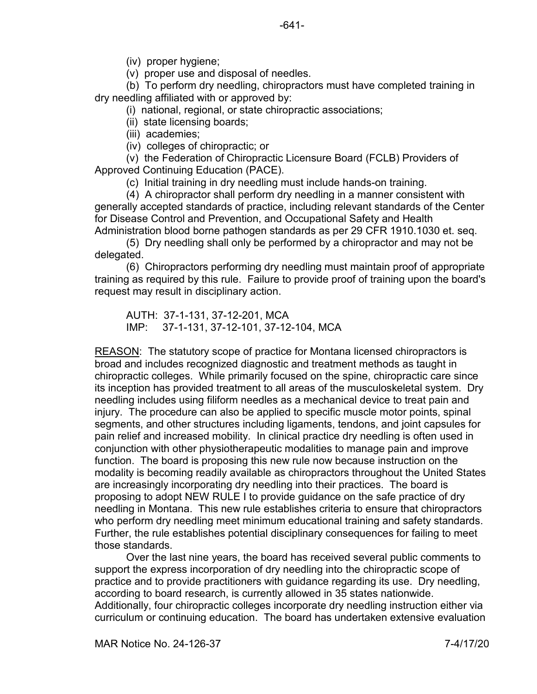(iv) proper hygiene;

(v) proper use and disposal of needles.

(b) To perform dry needling, chiropractors must have completed training in dry needling affiliated with or approved by:

(i) national, regional, or state chiropractic associations;

- (ii) state licensing boards;
- (iii) academies;
- (iv) colleges of chiropractic; or

(v) the Federation of Chiropractic Licensure Board (FCLB) Providers of Approved Continuing Education (PACE).

(c) Initial training in dry needling must include hands-on training.

(4) A chiropractor shall perform dry needling in a manner consistent with generally accepted standards of practice, including relevant standards of the Center for Disease Control and Prevention, and Occupational Safety and Health Administration blood borne pathogen standards as per 29 CFR 1910.1030 et. seq.

(5) Dry needling shall only be performed by a chiropractor and may not be delegated.

(6) Chiropractors performing dry needling must maintain proof of appropriate training as required by this rule. Failure to provide proof of training upon the board's request may result in disciplinary action.

AUTH: 37-1-131, 37-12-201, MCA IMP: 37-1-131, 37-12-101, 37-12-104, MCA

REASON: The statutory scope of practice for Montana licensed chiropractors is broad and includes recognized diagnostic and treatment methods as taught in chiropractic colleges. While primarily focused on the spine, chiropractic care since its inception has provided treatment to all areas of the musculoskeletal system. Dry needling includes using filiform needles as a mechanical device to treat pain and injury. The procedure can also be applied to specific muscle motor points, spinal segments, and other structures including ligaments, tendons, and joint capsules for pain relief and increased mobility. In clinical practice dry needling is often used in conjunction with other physiotherapeutic modalities to manage pain and improve function. The board is proposing this new rule now because instruction on the modality is becoming readily available as chiropractors throughout the United States are increasingly incorporating dry needling into their practices. The board is proposing to adopt NEW RULE I to provide guidance on the safe practice of dry needling in Montana. This new rule establishes criteria to ensure that chiropractors who perform dry needling meet minimum educational training and safety standards. Further, the rule establishes potential disciplinary consequences for failing to meet those standards.

Over the last nine years, the board has received several public comments to support the express incorporation of dry needling into the chiropractic scope of practice and to provide practitioners with guidance regarding its use. Dry needling, according to board research, is currently allowed in 35 states nationwide. Additionally, four chiropractic colleges incorporate dry needling instruction either via curriculum or continuing education. The board has undertaken extensive evaluation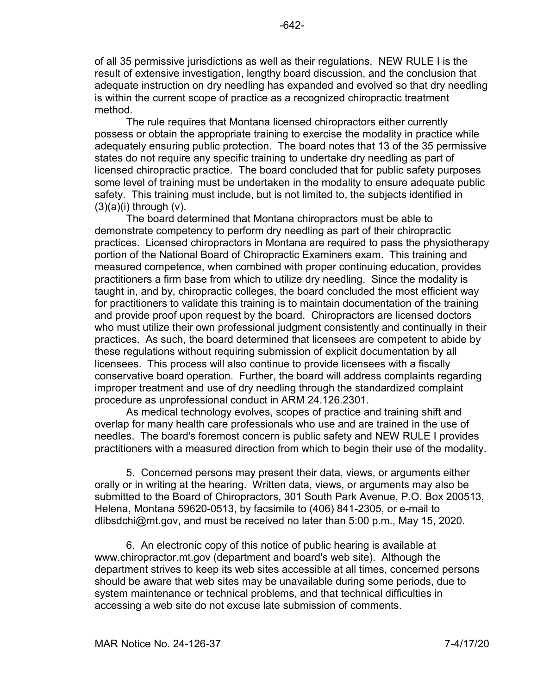of all 35 permissive jurisdictions as well as their regulations. NEW RULE I is the result of extensive investigation, lengthy board discussion, and the conclusion that adequate instruction on dry needling has expanded and evolved so that dry needling is within the current scope of practice as a recognized chiropractic treatment method.

The rule requires that Montana licensed chiropractors either currently possess or obtain the appropriate training to exercise the modality in practice while adequately ensuring public protection. The board notes that 13 of the 35 permissive states do not require any specific training to undertake dry needling as part of licensed chiropractic practice. The board concluded that for public safety purposes some level of training must be undertaken in the modality to ensure adequate public safety. This training must include, but is not limited to, the subjects identified in  $(3)(a)(i)$  through  $(v)$ .

The board determined that Montana chiropractors must be able to demonstrate competency to perform dry needling as part of their chiropractic practices. Licensed chiropractors in Montana are required to pass the physiotherapy portion of the National Board of Chiropractic Examiners exam. This training and measured competence, when combined with proper continuing education, provides practitioners a firm base from which to utilize dry needling. Since the modality is taught in, and by, chiropractic colleges, the board concluded the most efficient way for practitioners to validate this training is to maintain documentation of the training and provide proof upon request by the board. Chiropractors are licensed doctors who must utilize their own professional judgment consistently and continually in their practices. As such, the board determined that licensees are competent to abide by these regulations without requiring submission of explicit documentation by all licensees. This process will also continue to provide licensees with a fiscally conservative board operation. Further, the board will address complaints regarding improper treatment and use of dry needling through the standardized complaint procedure as unprofessional conduct in ARM 24.126.2301.

As medical technology evolves, scopes of practice and training shift and overlap for many health care professionals who use and are trained in the use of needles. The board's foremost concern is public safety and NEW RULE I provides practitioners with a measured direction from which to begin their use of the modality.

5. Concerned persons may present their data, views, or arguments either orally or in writing at the hearing. Written data, views, or arguments may also be submitted to the Board of Chiropractors, 301 South Park Avenue, P.O. Box 200513, Helena, Montana 59620-0513, by facsimile to (406) 841-2305, or e-mail to dlibsdchi@mt.gov, and must be received no later than 5:00 p.m., May 15, 2020.

6. An electronic copy of this notice of public hearing is available at www.chiropractor.mt.gov (department and board's web site). Although the department strives to keep its web sites accessible at all times, concerned persons should be aware that web sites may be unavailable during some periods, due to system maintenance or technical problems, and that technical difficulties in accessing a web site do not excuse late submission of comments.